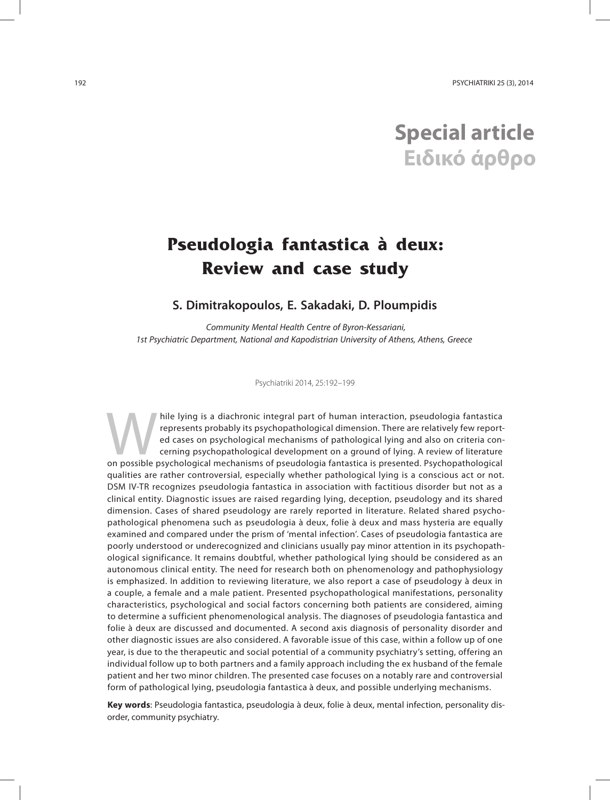# **Special article Ειδικό άρθρο**

## **Pseudologia fantastica à deux: Review and case study**

### **S. Dimitrakopoulos, E. Sakadaki, D. Ploumpidis**

Community Mental Health Centre of Byron-Kessariani, 1st Psychiatric Department, National and Kapodistrian University of Athens, Athens, Greece

Psychiatriki 2014, 25:192–199

hile lying is a diachronic integral part of human interaction, pseudologia fantastica<br>represents probably its psychopathological dimension. There are relatively few report-<br>ed cases on psychological mechanisms of pathologi represents probably its psychopathological dimension. There are relatively few reported cases on psychological mechanisms of pathological lying and also on criteria concerning psychopathological development on a ground of lying. A review of literature on possible psychological mechanisms of pseudologia fantastica is presented. Psychopathological qualities are rather controversial, especially whether pathological lying is a conscious act or not. DSM IV-TR recognizes pseudologia fantastica in association with factitious disorder but not as a clinical entity. Diagnostic issues are raised regarding lying, deception, pseudology and its shared dimension. Cases of shared pseudology are rarely reported in literature. Related shared psychopathological phenomena such as pseudologia à deux, folie à deux and mass hysteria are equally examined and compared under the prism of 'mental infection'. Cases of pseudologia fantastica are poorly understood or underecognized and clinicians usually pay minor attention in its psychopathological significance. It remains doubtful, whether pathological lying should be considered as an autonomous clinical entity. The need for research both on phenomenology and pathophysiology is emphasized. In addition to reviewing literature, we also report a case of pseudology à deux in a couple, a female and a male patient. Presented psychopathological manifestations, personality characteristics, psychological and social factors concerning both patients are considered, aiming to determine a sufficient phenomenological analysis. The diagnoses of pseudologia fantastica and folie à deux are discussed and documented. A second axis diagnosis of personality disorder and other diagnostic issues are also considered. A favorable issue of this case, within a follow up of one year, is due to the therapeutic and social potential of a community psychiatry's setting, offering an individual follow up to both partners and a family approach including the ex husband of the female patient and her two minor children. The presented case focuses on a notably rare and controversial form of pathological lying, pseudologia fantastica à deux, and possible underlying mechanisms.

**Key words**: Pseudologia fantastica, pseudologia à deux, folie à deux, mental infection, personality disorder, community psychiatry.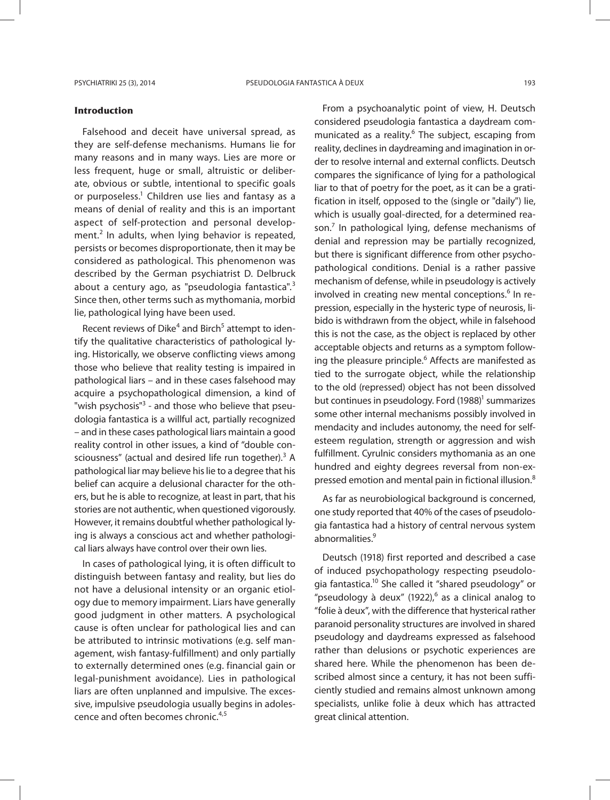#### **Introduction**

Falsehood and deceit have universal spread, as they are self-defense mechanisms. Humans lie for many reasons and in many ways. Lies are more or less frequent, huge or small, altruistic or deliberate, obvious or subtle, intentional to specific goals or purposeless.<sup>1</sup> Children use lies and fantasy as a means of denial of reality and this is an important aspect of self-protection and personal development.<sup>2</sup> In adults, when lying behavior is repeated, persists or becomes disproportionate, then it may be considered as pathological. This phenomenon was described by the German psychiatrist D. Delbruck about a century ago, as "pseudologia fantastica". $3$ Since then, other terms such as mythomania, morbid lie, pathological lying have been used.

Recent reviews of Dike<sup>4</sup> and Birch<sup>5</sup> attempt to identify the qualitative characteristics of pathological lying. Historically, we observe conflicting views among those who believe that reality testing is impaired in pathological liars – and in these cases falsehood may acquire a psychopathological dimension, a kind of "wish psychosis"<sup>3</sup> - and those who believe that pseudologia fantastica is a willful act, partially recognized – and in these cases pathological liars maintain a good reality control in other issues, a kind of "double consciousness" (actual and desired life run together).<sup>3</sup> A pathological liar may believe his lie to a degree that his belief can acquire a delusional character for the others, but he is able to recognize, at least in part, that his stories are not authentic, when questioned vigorously. However, it remains doubtful whether pathological lying is always a conscious act and whether pathological liars always have control over their own lies.

In cases of pathological lying, it is often difficult to distinguish between fantasy and reality, but lies do not have a delusional intensity or an organic etiology due to memory impairment. Liars have generally good judgment in other matters. A psychological cause is often unclear for pathological lies and can be attributed to intrinsic motivations (e.g. self management, wish fantasy-fulfillment) and only partially to externally determined ones (e.g. financial gain or legal-punishment avoidance). Lies in pathological liars are often unplanned and impulsive. The excessive, impulsive pseudologia usually begins in adolescence and often becomes chronic.4,5

From a psychoanalytic point of view, H. Deutsch considered pseudologia fantastica a daydream communicated as a reality.<sup>6</sup> The subject, escaping from reality, declines in daydreaming and imagination in order to resolve internal and external conflicts. Deutsch compares the significance of lying for a pathological liar to that of poetry for the poet, as it can be a gratification in itself, opposed to the (single or "daily") lie, which is usually goal-directed, for a determined reason. $<sup>7</sup>$  In pathological lying, defense mechanisms of</sup> denial and repression may be partially recognized, but there is significant difference from other psychopathological conditions. Denial is a rather passive mechanism of defense, while in pseudology is actively involved in creating new mental conceptions.<sup>6</sup> In repression, especially in the hysteric type of neurosis, libido is withdrawn from the object, while in falsehood this is not the case, as the object is replaced by other acceptable objects and returns as a symptom following the pleasure principle.<sup>6</sup> Affects are manifested as tied to the surrogate object, while the relationship to the old (repressed) object has not been dissolved but continues in pseudology. Ford (1988)<sup>1</sup> summarizes some other internal mechanisms possibly involved in mendacity and includes autonomy, the need for selfesteem regulation, strength or aggression and wish fulfillment. Cyrulnic considers mythomania as an one hundred and eighty degrees reversal from non-expressed emotion and mental pain in fictional illusion.<sup>8</sup>

As far as neurobiological background is concerned, one study reported that 40% of the cases of pseudologia fantastica had a history of central nervous system abnormalities.<sup>9</sup>

Deutsch (1918) first reported and described a case of induced psychopathology respecting pseudologia fantastica.<sup>10</sup> She called it "shared pseudology" or "pseudology à deux" (1922), $6$  as a clinical analog to "folie à deux", with the difference that hysterical rather paranoid personality structures are involved in shared pseudology and daydreams expressed as falsehood rather than delusions or psychotic experiences are shared here. While the phenomenon has been described almost since a century, it has not been sufficiently studied and remains almost unknown among specialists, unlike folie à deux which has attracted great clinical attention.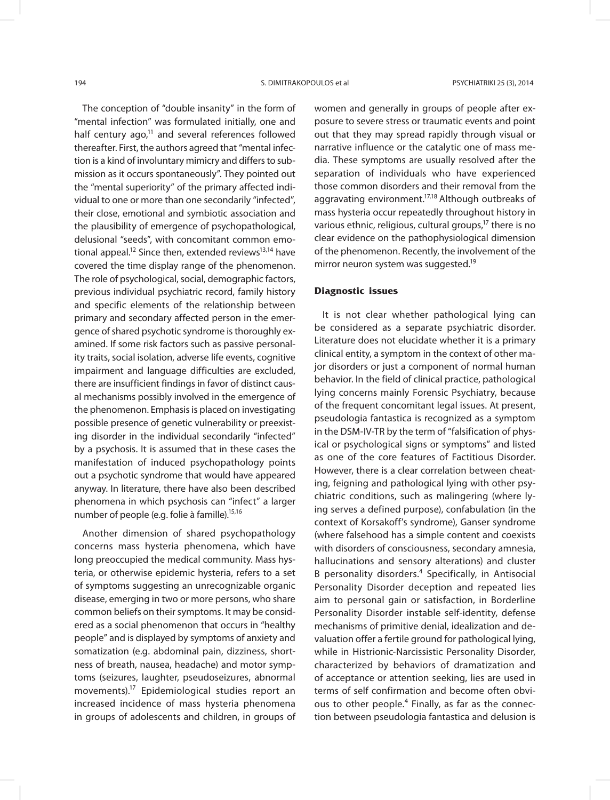The conception of "double insanity" in the form of "mental infection" was formulated initially, one and half century  $ago<sub>1</sub><sup>11</sup>$  and several references followed thereafter. First, the authors agreed that "mental infection is a kind of involuntary mimicry and differs to submission as it occurs spontaneously". They pointed out the "mental superiority" of the primary affected individual to one or more than one secondarily "infected", their close, emotional and symbiotic association and the plausibility of emergence of psychopathological, delusional "seeds", with concomitant common emotional appeal.<sup>12</sup> Since then, extended reviews<sup>13,14</sup> have covered the time display range of the phenomenon. The role of psychological, social, demographic factors, previous individual psychiatric record, family history and specific elements of the relationship between primary and secondary affected person in the emergence of shared psychotic syndrome is thoroughly examined. If some risk factors such as passive personality traits, social isolation, adverse life events, cognitive impairment and language difficulties are excluded, there are insufficient findings in favor of distinct causal mechanisms possibly involved in the emergence of the phenomenon. Emphasis is placed on investigating possible presence of genetic vulnerability or preexisting disorder in the individual secondarily "infected" by a psychosis. It is assumed that in these cases the manifestation of induced psychopathology points out a psychotic syndrome that would have appeared anyway. In literature, there have also been described phenomena in which psychosis can "infect" a larger number of people (e.g. folie à famille).<sup>15,16</sup>

Another dimension of shared psychopathology concerns mass hysteria phenomena, which have long preoccupied the medical community. Mass hysteria, or otherwise epidemic hysteria, refers to a set of symptoms suggesting an unrecognizable organic disease, emerging in two or more persons, who share common beliefs on their symptoms. It may be considered as a social phenomenon that occurs in "healthy people" and is displayed by symptoms of anxiety and somatization (e.g. abdominal pain, dizziness, shortness of breath, nausea, headache) and motor symptoms (seizures, laughter, pseudoseizures, abnormal movements).17 Epidemiological studies report an increased incidence of mass hysteria phenomena in groups of adolescents and children, in groups of women and generally in groups of people after exposure to severe stress or traumatic events and point out that they may spread rapidly through visual or narrative influence or the catalytic one of mass media. These symptoms are usually resolved after the separation of individuals who have experienced those common disorders and their removal from the aggravating environment.<sup>17,18</sup> Although outbreaks of mass hysteria occur repeatedly throughout history in various ethnic, religious, cultural groups,<sup>17</sup> there is no clear evidence on the pathophysiological dimension of the phenomenon. Recently, the involvement of the mirror neuron system was suggested.<sup>19</sup>

#### **Diagnostic issues**

It is not clear whether pathological lying can be considered as a separate psychiatric disorder. Literature does not elucidate whether it is a primary clinical entity, a symptom in the context of other major disorders or just a component of normal human behavior. In the field of clinical practice, pathological lying concerns mainly Forensic Psychiatry, because of the frequent concomitant legal issues. At present, pseudologia fantastica is recognized as a symptom in the DSM-IV-TR by the term of "falsification of physical or psychological signs or symptoms" and listed as one of the core features of Factitious Disorder. However, there is a clear correlation between cheating, feigning and pathological lying with other psychiatric conditions, such as malingering (where lying serves a defined purpose), confabulation (in the context of Korsakoff's syndrome), Ganser syndrome (where falsehood has a simple content and coexists with disorders of consciousness, secondary amnesia, hallucinations and sensory alterations) and cluster B personality disorders.<sup>4</sup> Specifically, in Antisocial Personality Disorder deception and repeated lies aim to personal gain or satisfaction, in Borderline Personality Disorder instable self-identity, defense mechanisms of primitive denial, idealization and devaluation offer a fertile ground for pathological lying, while in Histrionic-Narcissistic Personality Disorder, characterized by behaviors of dramatization and of acceptance or attention seeking, lies are used in terms of self confirmation and become often obvious to other people.<sup>4</sup> Finally, as far as the connection between pseudologia fantastica and delusion is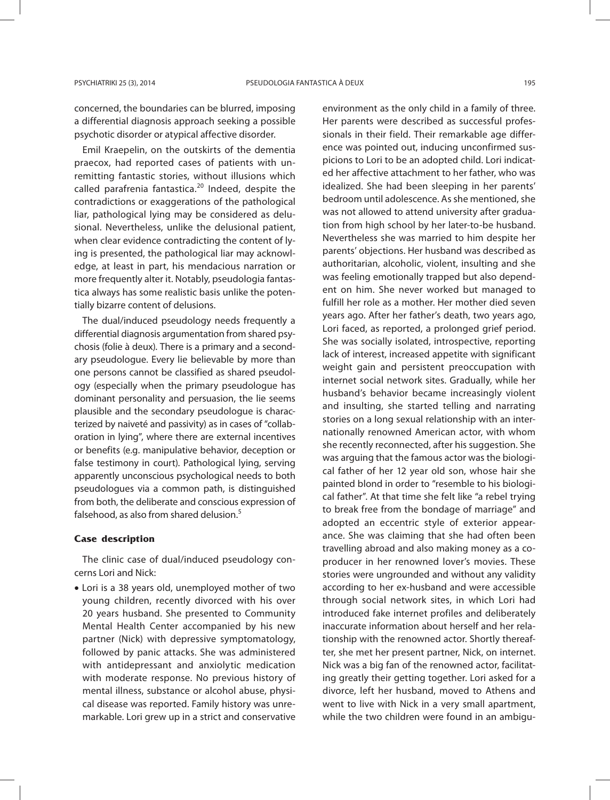concerned, the boundaries can be blurred, imposing a differential diagnosis approach seeking a possible psychotic disorder or atypical affective disorder.

Emil Kraepelin, on the outskirts of the dementia praecox, had reported cases of patients with unremitting fantastic stories, without illusions which called parafrenia fantastica.<sup>20</sup> Indeed, despite the contradictions or exaggerations of the pathological liar, pathological lying may be considered as delusional. Nevertheless, unlike the delusional patient, when clear evidence contradicting the content of lying is presented, the pathological liar may acknowledge, at least in part, his mendacious narration or more frequently alter it. Notably, pseudologia fantastica always has some realistic basis unlike the potentially bizarre content of delusions.

The dual/induced pseudology needs frequently a differential diagnosis argumentation from shared psychosis (folie à deux). There is a primary and a secondary pseudologue. Every lie believable by more than one persons cannot be classified as shared pseudology (especially when the primary pseudologue has dominant personality and persuasion, the lie seems plausible and the secondary pseudologue is characterized by naiveté and passivity) as in cases of "collaboration in lying", where there are external incentives or benefits (e.g. manipulative behavior, deception or false testimony in court). Pathological lying, serving apparently unconscious psychological needs to both pseudologues via a common path, is distinguished from both, the deliberate and conscious expression of falsehood, as also from shared delusion.<sup>5</sup>

#### **Case description**

The clinic case of dual/induced pseudology concerns Lori and Nick:

• Lori is a 38 years old, unemployed mother of two young children, recently divorced with his over 20 years husband. She presented to Community Mental Health Center accompanied by his new partner (Nick) with depressive symptomatology, followed by panic attacks. She was administered with antidepressant and anxiolytic medication with moderate response. No previous history of mental illness, substance or alcohol abuse, physical disease was reported. Family history was unremarkable. Lori grew up in a strict and conservative

environment as the only child in a family of three. Her parents were described as successful professionals in their field. Their remarkable age difference was pointed out, inducing unconfirmed suspicions to Lori to be an adopted child. Lori indicated her affective attachment to her father, who was idealized. She had been sleeping in her parents' bedroom until adolescence. As she mentioned, she was not allowed to attend university after graduation from high school by her later-to-be husband. Nevertheless she was married to him despite her parents' objections. Her husband was described as authoritarian, alcoholic, violent, insulting and she was feeling emotionally trapped but also dependent on him. She never worked but managed to fulfill her role as a mother. Her mother died seven years ago. After her father's death, two years ago, Lori faced, as reported, a prolonged grief period. She was socially isolated, introspective, reporting lack of interest, increased appetite with significant weight gain and persistent preoccupation with internet social network sites. Gradually, while her husband's behavior became increasingly violent and insulting, she started telling and narrating stories on a long sexual relationship with an internationally renowned American actor, with whom she recently reconnected, after his suggestion. She was arguing that the famous actor was the biological father of her 12 year old son, whose hair she painted blond in order to "resemble to his biological father". At that time she felt like "a rebel trying to break free from the bondage of marriage" and adopted an eccentric style of exterior appearance. She was claiming that she had often been travelling abroad and also making money as a coproducer in her renowned lover's movies. These stories were ungrounded and without any validity according to her ex-husband and were accessible through social network sites, in which Lori had introduced fake internet profiles and deliberately inaccurate information about herself and her relationship with the renowned actor. Shortly thereafter, she met her present partner, Nick, on internet. Nick was a big fan of the renowned actor, facilitating greatly their getting together. Lori asked for a divorce, left her husband, moved to Athens and went to live with Nick in a very small apartment, while the two children were found in an ambigu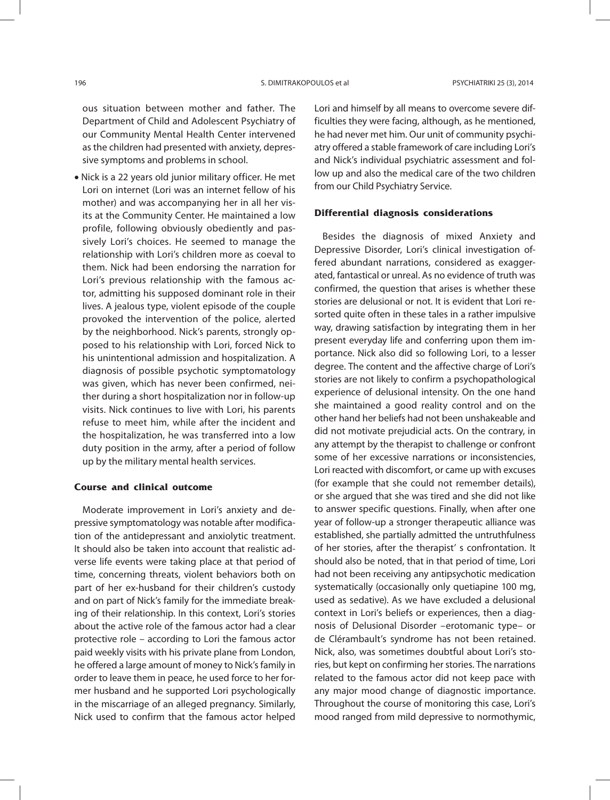ous situation between mother and father. The Department of Child and Adolescent Psychiatry of our Community Mental Health Center intervened as the children had presented with anxiety, depressive symptoms and problems in school.

• Nick is a 22 years old junior military officer. He met Lori on internet (Lori was an internet fellow of his mother) and was accompanying her in all her visits at the Community Center. He maintained a low profile, following obviously obediently and passively Lori's choices. He seemed to manage the relationship with Lori's children more as coeval to them. Nick had been endorsing the narration for Lori's previous relationship with the famous actor, admitting his supposed dominant role in their lives. A jealous type, violent episode of the couple provoked the intervention of the police, alerted by the neighborhood. Nick's parents, strongly opposed to his relationship with Lori, forced Nick to his unintentional admission and hospitalization. A diagnosis of possible psychotic symptomatology was given, which has never been confirmed, neither during a short hospitalization nor in follow-up visits. Nick continues to live with Lori, his parents refuse to meet him, while after the incident and the hospitalization, he was transferred into a low duty position in the army, after a period of follow up by the military mental health services.

#### **Course and clinical outcome**

Moderate improvement in Lori's anxiety and depressive symptomatology was notable after modification of the antidepressant and anxiolytic treatment. It should also be taken into account that realistic adverse life events were taking place at that period of time, concerning threats, violent behaviors both on part of her ex-husband for their children's custody and on part of Nick's family for the immediate breaking of their relationship. In this context, Lori's stories about the active role of the famous actor had a clear protective role – according to Lori the famous actor paid weekly visits with his private plane from London, he offered a large amount of money to Nick's family in order to leave them in peace, he used force to her former husband and he supported Lori psychologically in the miscarriage of an alleged pregnancy. Similarly, Nick used to confirm that the famous actor helped

Lori and himself by all means to overcome severe difficulties they were facing, although, as he mentioned, he had never met him. Our unit of community psychiatry offered a stable framework of care including Lori's and Nick's individual psychiatric assessment and follow up and also the medical care of the two children from our Child Psychiatry Service.

#### **Differential diagnosis considerations**

Besides the diagnosis of mixed Anxiety and Depressive Disorder, Lori's clinical investigation offered abundant narrations, considered as exaggerated, fantastical or unreal. As no evidence of truth was confirmed, the question that arises is whether these stories are delusional or not. It is evident that Lori resorted quite often in these tales in a rather impulsive way, drawing satisfaction by integrating them in her present everyday life and conferring upon them importance. Nick also did so following Lori, to a lesser degree. The content and the affective charge of Lori's stories are not likely to confirm a psychopathological experience of delusional intensity. On the one hand she maintained a good reality control and on the other hand her beliefs had not been unshakeable and did not motivate prejudicial acts. On the contrary, in any attempt by the therapist to challenge or confront some of her excessive narrations or inconsistencies, Lori reacted with discomfort, or came up with excuses (for example that she could not remember details), or she argued that she was tired and she did not like to answer specific questions. Finally, when after one year of follow-up a stronger therapeutic alliance was established, she partially admitted the untruthfulness of her stories, after the therapist' s confrontation. It should also be noted, that in that period of time, Lori had not been receiving any antipsychotic medication systematically (occasionally only quetiapine 100 mg, used as sedative). As we have excluded a delusional context in Lori's beliefs or experiences, then a diagnosis of Delusional Disorder –erotomanic type– or de Clérambault's syndrome has not been retained. Nick, also, was sometimes doubtful about Lori's stories, but kept on confirming her stories. The narrations related to the famous actor did not keep pace with any major mood change of diagnostic importance. Throughout the course of monitoring this case, Lori's mood ranged from mild depressive to normothymic,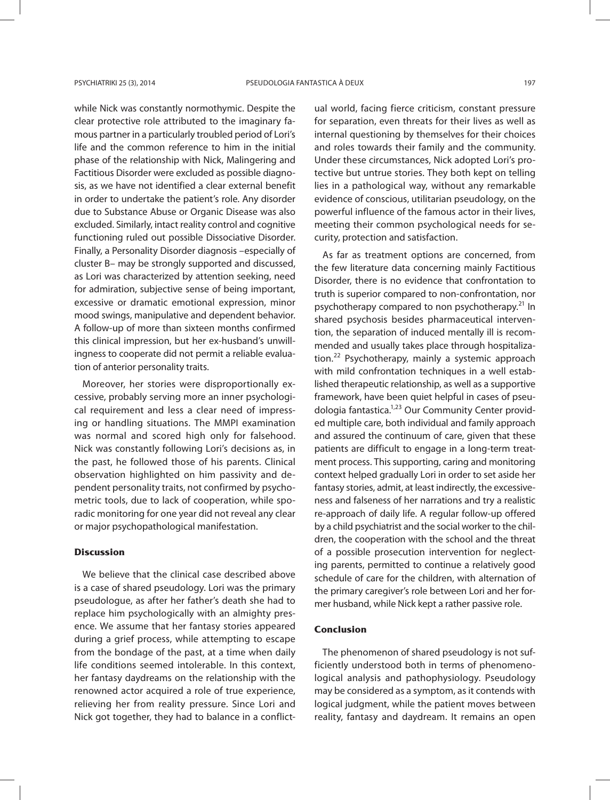while Nick was constantly normothymic. Despite the clear protective role attributed to the imaginary famous partner in a particularly troubled period of Lori's life and the common reference to him in the initial phase of the relationship with Nick, Malingering and Factitious Disorder were excluded as possible diagnosis, as we have not identified a clear external benefit in order to undertake the patient's role. Any disorder due to Substance Abuse or Organic Disease was also excluded. Similarly, intact reality control and cognitive functioning ruled out possible Dissociative Disorder. Finally, a Personality Disorder diagnosis –especially of cluster B– may be strongly supported and discussed, as Lori was characterized by attention seeking, need for admiration, subjective sense of being important, excessive or dramatic emotional expression, minor mood swings, manipulative and dependent behavior. A follow-up of more than sixteen months confirmed this clinical impression, but her ex-husband's unwillingness to cooperate did not permit a reliable evaluation of anterior personality traits.

Moreover, her stories were disproportionally excessive, probably serving more an inner psychological requirement and less a clear need of impressing or handling situations. The MMPI examination was normal and scored high only for falsehood. Nick was constantly following Lori's decisions as, in the past, he followed those of his parents. Clinical observation highlighted on him passivity and dependent personality traits, not confirmed by psychometric tools, due to lack of cooperation, while sporadic monitoring for one year did not reveal any clear or major psychopathological manifestation.

#### **Discussion**

We believe that the clinical case described above is a case of shared pseudology. Lori was the primary pseudologue, as after her father's death she had to replace him psychologically with an almighty presence. We assume that her fantasy stories appeared during a grief process, while attempting to escape from the bondage of the past, at a time when daily life conditions seemed intolerable. In this context, her fantasy daydreams on the relationship with the renowned actor acquired a role of true experience, relieving her from reality pressure. Since Lori and Nick got together, they had to balance in a conflictual world, facing fierce criticism, constant pressure for separation, even threats for their lives as well as internal questioning by themselves for their choices and roles towards their family and the community. Under these circumstances, Nick adopted Lori's protective but untrue stories. They both kept on telling lies in a pathological way, without any remarkable evidence of conscious, utilitarian pseudology, on the powerful influence of the famous actor in their lives, meeting their common psychological needs for security, protection and satisfaction.

As far as treatment options are concerned, from the few literature data concerning mainly Factitious Disorder, there is no evidence that confrontation to truth is superior compared to non-confrontation, nor psychotherapy compared to non psychotherapy.<sup>21</sup> In shared psychosis besides pharmaceutical intervention, the separation of induced mentally ill is recommended and usually takes place through hospitalization.<sup>22</sup> Psychotherapy, mainly a systemic approach with mild confrontation techniques in a well established therapeutic relationship, as well as a supportive framework, have been quiet helpful in cases of pseudologia fantastica.<sup>1,23</sup> Our Community Center provided multiple care, both individual and family approach and assured the continuum of care, given that these patients are difficult to engage in a long-term treatment process. This supporting, caring and monitoring context helped gradually Lori in order to set aside her fantasy stories, admit, at least indirectly, the excessiveness and falseness of her narrations and try a realistic re-approach of daily life. A regular follow-up offered by a child psychiatrist and the social worker to the children, the cooperation with the school and the threat of a possible prosecution intervention for neglecting parents, permitted to continue a relatively good schedule of care for the children, with alternation of the primary caregiver's role between Lori and her former husband, while Nick kept a rather passive role.

#### **Conclusion**

The phenomenon of shared pseudology is not sufficiently understood both in terms of phenomenological analysis and pathophysiology. Pseudology may be considered as a symptom, as it contends with logical judgment, while the patient moves between reality, fantasy and daydream. It remains an open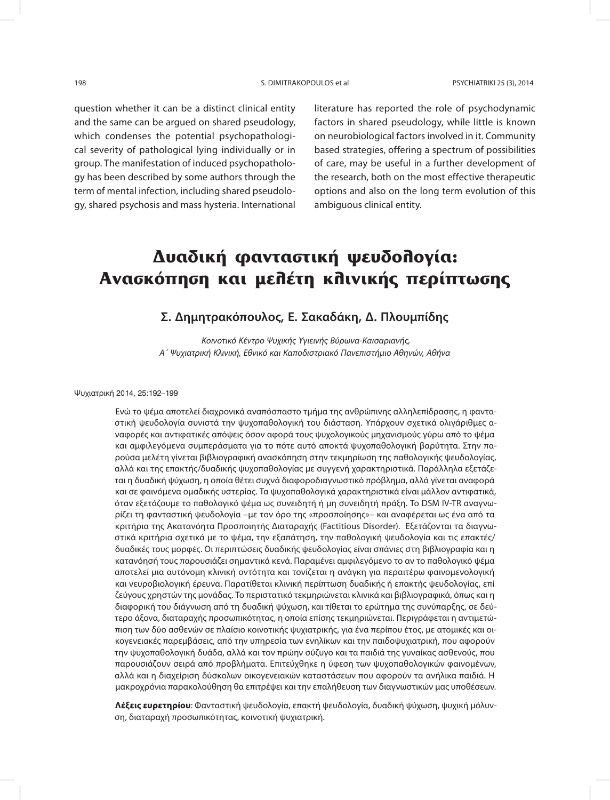question whether it can be a distinct clinical entity and the same can be argued on shared pseudology, which condenses the potential psychopathological severity of pathological lying individually or in group. The manifestation of induced psychopathology has been described by some authors through the term of mental infection, including shared pseudology, shared psychosis and mass hysteria. International literature has reported the role of psychodynamic factors in shared pseudology, while little is known on neurobiological factors involved in it. Community based strategies, offering a spectrum of possibilities of care, may be useful in a further development of the research, both on the most effective therapeutic options and also on the long term evolution of this ambiguous clinical entity.

## **Δυαδική φανταστική ψευδολογία: Ανασκόπηση και μελέτη κλινικής περίπτωσης**

### **Σ. Δημητρακόπουλος, Ε. Σακαδάκη, Δ. Πλουμπίδης**

Κοινοτικό Κέντρο Ψυχικής Υγιεινής Βύρωνα-Καισαριανής, Α΄ Ψυχιατρική Κλινική, Εθνικό και Καποδιστριακό Πανεπιστήμιο Αθηνών, Αθήνα

Ψυχιατρική 2014, 25:192–199

Ενώ το ψέμα αποτελεί διαχρονικά αναπόσπαστο τμήμα της ανθρώπινης αλληλεπίδρασης, η φανταστική ψευδολογία συνιστά την ψυχοπαθολογική του διάσταση. Υπάρχουν σχετικά ολιγάριθμες αναφορές και αντιφατικές απόψεις όσον αφορά τους ψυχολογικούς μηχανισμούς γύρω από το ψέμα και αμφιλεγόμενα συμπεράσματα για το πότε αυτό αποκτά ψυχοπαθολογική βαρύτητα. Στην παρούσα μελέτη γίνεται βιβλιογραφική ανασκόπηση στην τεκμηρίωση της παθολογικής ψευδολογίας, αλλά και της επακτής/δυαδικής ψυχοπαθολογίας με συγγενή χαρακτηριστικά. Παράλληλα εξετάζεται η δυαδική ψύχωση, η οποία θέτει συχνά διαφοροδιαγνωστικό πρόβλημα, αλλά γίνεται αναφορά και σε φαινόμενα ομαδικής υστερίας. Τα ψυχοπαθολογικά χαρακτηριστικά είναι μάλλον αντιφατικά, όταν εξετάζουμε το παθολογικό ψέμα ως συνειδητή ή μη συνειδητή πράξη. Το DSM IV-TR αναγνωρίζει τη φανταστική ψευδολογία –με τον όρο της «προσποίησης»– και αναφέρεται ως ένα από τα κριτήρια της Ακατανόητα Προσποιητής Διαταραχής (Factitious Disorder). Εξετάζονται τα διαγνωστικά κριτήρια σχετικά με το ψέμα, την εξαπάτηση, την παθολογική ψευδολογία και τις επακτές/ δυαδικές τους μορφές. Οι περιπτώσεις δυαδικής ψευδολογίας είναι σπάνιες στη βιβλιογραφία και η κατανόησή τους παρουσιάζει σημαντικά κενά. Παραμένει αμφιλεγόμενο το αν το παθολογικό ψέμα αποτελεί μια αυτόνομη κλινική οντότητα και τονίζεται η ανάγκη για περαιτέρω φαινομενολογική και νευροβιο λογική έρευνα. Παρατίθεται κλινική περίπτωση δυαδικής ή επακτής ψευδολογίας, επί ζεύγους χρηστών της μονάδας. Το περιστατικό τεκμηριώνεται κλινικά και βιβλιογραφικά, όπως και η διαφορική του διάγνωση από τη δυαδική ψύχωση, και τίθεται το ερώτημα της συνύπαρξης, σε δεύτερο άξονα, διαταραχής προσωπικότητας, η οποία επίσης τεκμηριώνεται. Περιγράφεται η αντιμετώπιση των δύο ασθενών σε πλαίσιο κοινοτικής ψυχιατρικής, για ένα περίπου έτος, με ατομικές και οικογενειακές παρεμβάσεις, από την υπηρεσία των ενηλίκων και την παιδοψυχιατρική, που αφορούν την ψυχοπαθολογική δυάδα, αλλά και τον πρώην σύζυγο και τα παιδιά της γυναίκας ασθενούς, που παρουσιάζουν σειρά από προβλήματα. Επιτεύχθηκε η ύφεση των ψυχοπαθολογικών φαινομένων, αλλά και η διαχείριση δύσκολων οικογενειακών καταστάσεων που αφορούν τα ανήλικα παιδιά. Η μακροχρόνια παρακολούθηση θα επιτρέψει και την επαλήθευση των διαγνωστικών μας υποθέσεων.

**Λέξεις ευρετηρίου**: Φανταστική ψευδολογία, επακτή ψευδολογία, δυαδική ψύχωση, ψυχική μόλυνση, διαταραχή προσωπικότητας, κοινοτική ψυχιατρική.